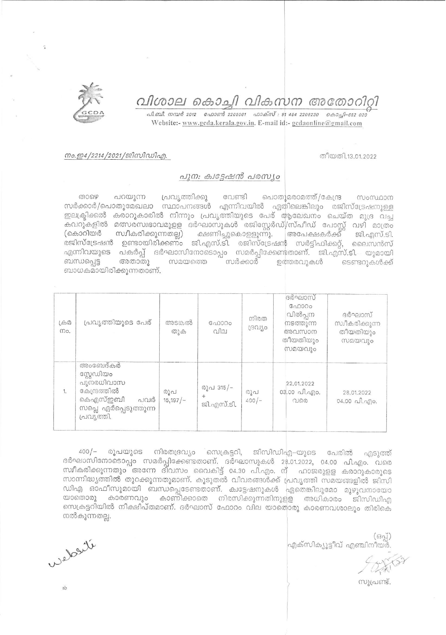# വിശാല കൊച്ചി വികസന അതോറിറി

வி.வி. றாயு 2012 - வேறள 8 2205061 - வாக்ஸ் : 91 484 2206230 - கொஷி-682 020 Website:- www.gcda.kerala.gov.in. E-mail id:- gcdaonline@gmail.com

### നം.ഇ4/2214/2021/ജിസിഡിഎ.

#### തീയതി.13.01.2022

### പുന: ക്വട്ടേഷൻ പരസ്യം

லை പറയുന്ന പ്രവൃത്തിക്കു വേണ്ടി പൊതുമരാമത്ത്/കേന്ദ്ര momunom സർക്കാർ/പൊതുമേഖലാ സ്ഥാപനങ്ങൾ എന്നിവയിൽ ഏതിലെങ്കിലും രജിസ്ട്രേഷനുള്ള ഇലക്ട്രിക്കൽ കരാറുകാരിൽ നിന്നും പ്രവൃത്തിയുടെ പേര് ആലേഖനം ചെയ്ത മുദ്ര വച്ച കവറുകളിൽ മത്സരസ്വഭാവമുളള ദർഘാസുകൾ രജിസ്റ്റേർഡ്/സ്പീഡ് പോസ്റ്റ് വഴി മാത്രം<br>(കൊറിയർ സ്വീകരിക്കുന്നതല്ല) ക്ഷണിച്ചുകൊളളുന്നു. അപേക്ഷകർക്ക് ജി.എസ്.ടി. രജിസ്ട്രേഷൻ ഉണ്ടായിരിക്കണം ജി.എസ്.ടി. രജിസ്ട്രേഷൻ സർട്ടിഫിക്കറ്റ്, ലൈസൻസ് എന്നിവയുടെ പകർപ്പ് ദർഘാസിനോടൊപ്പം സമർപ്പിക്കേണ്ടതാണ്. ജി.എസ്.ടി. യുമായി അതാതു ബന്ധപ്പെട്ട സമയത്തെ സർക്കാർ ഉത്തരവുകൾ ടെണ്ടറുകൾക്ക് ബാധകമായിരിക്കുന്നതാണ്.

| LefD2<br>mo. | പ്രവ്യത്തിയുടെ പേര്                                                                                           | അടങ്കൽ<br>തുക  | ഫോറം<br>വില                    | നിരത<br>ദ്രവിശ | ദർഘാസ്<br>$G_{0}10000$<br>വിൽപ്പന<br>നടത്തുന്ന<br>അവസാന<br>തീയതിയും<br>സമയവും | ദർഘാസ്<br>സ്വീകരിക്കുന്ന<br>തീയതിയും<br>സമയവും |
|--------------|---------------------------------------------------------------------------------------------------------------|----------------|--------------------------------|----------------|-------------------------------------------------------------------------------|------------------------------------------------|
| 1.           | അംബേദ്കർ<br>സ്റ്റേഡിയം<br>പുനരധിവാസ<br>കേന്ദ്രത്തിൽ<br>കെഎസ്ഇബി<br>പവർ<br>സപ്ലെ ഏർപ്പെടുത്തുന്ന<br>പ്രവൃത്തി. | രുപ<br>15,197/ | രൂപ 315/-<br>$+$<br>ജി.എസ്.ടി. | രൂപ<br>$400/-$ | 22.01.2022<br>03.00 வி.എo.<br>വരെ                                             | 28.01.2022<br>$04.00$ all. and $0.04$ .        |

 $400/$ രൂപയുടെ നിരതദ്രവ്യം സെക്രട്ടറി, ജിസിഡിഎ-യുടെ പേരിൽ എടുത്ത് ദർഘാസിനോടൊപ്പം സമർപ്പിക്കേണ്ടതാണ്. ദർഘാസുകൾ 28.01.2022, 04.00 പി.എം. വരെ സ്ഥീകരിക്കുന്നതും അന്നേ ദിവസം വൈകിട്ട് 04.30 പി.എം. ന് ഹാജരുളള കരാറുകാരുടെ സാന്നിദ്ധ്യത്തിൽ തുറക്കുന്നതുമാണ്. കൂടുതൽ വിവരങ്ങൾക്ക് പ്രവൃത്തി സമയങ്ങളിൽ ജിസി ഡിഎ ഓഫീസുമായി ബന്ധപ്പെടേണ്ടതാണ്. ക്വട്ടേഷനുകൾ ഏതെങ്കിലുമോ മുഴുവനായോ യാതൊരു കാരണവും കാണിക്കാതെ നിരസിക്കുന്നതിനുളള അധികാരം ജിസിഡിഎ സെക്രട്ടറിയിൽ നിക്ഷിപ്തമാണ്. ദർഘാസ് ഫോറം വില യാതൊരു കാരണവശാലും തിരികെ നൽകുന്നതല്ല.

 $(63q)$ എക്സിക്യൂട്ടീവ് എഞ്ചിനീയർ.

സുപ്രണ്ട്.

Wedschi